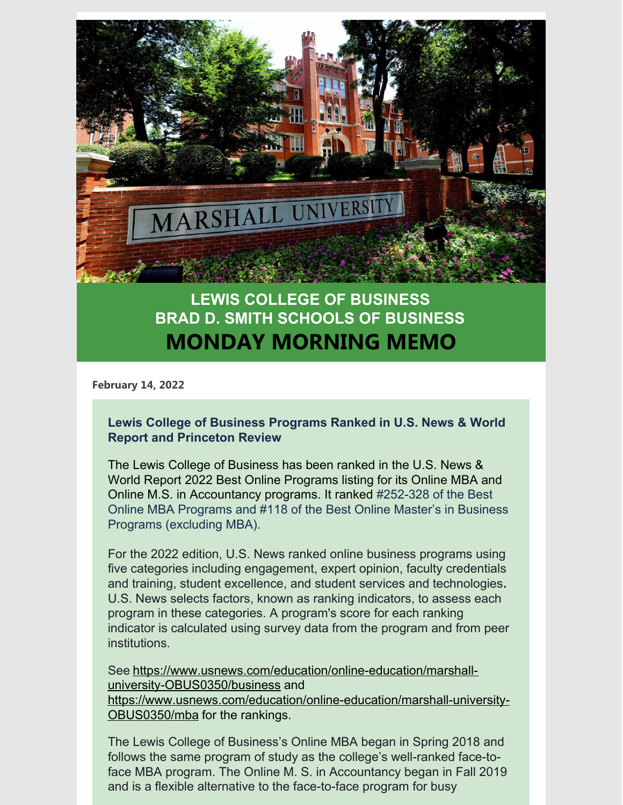

# **LEWIS COLLEGE OF BUSINESS BRAD D. SMITH SCHOOLS OF BUSINESS MONDAY MORNING MEMO**

**February 14, 2022**

## **Lewis College of Business Programs Ranked in U.S. News & World Report and Princeton Review**

The Lewis College of Business has been ranked in the U.S. News & World Report 2022 Best Online Programs listing for its Online MBA and Online M.S. in Accountancy programs. It ranked #252-328 of the Best Online MBA Programs and #118 of the Best Online Master's in Business Programs (excluding MBA).

For the 2022 edition, U.S. News ranked online business programs using five categories including engagement, expert opinion, faculty credentials and training, student excellence, and student services and technologies**.** U.S. News selects factors, known as ranking indicators, to assess each program in these categories. A program's score for each ranking indicator is calculated using survey data from the program and from peer institutions.

See [https://www.usnews.com/education/online-education/marshall](https://www.usnews.com/education/online-education/marshall-university-OBUS0350/business)university-OBUS0350/business and [https://www.usnews.com/education/online-education/marshall-university-](https://www.usnews.com/education/online-education/marshall-university-OBUS0350/mba)OBUS0350/mba for the rankings.

The Lewis College of Business's Online MBA began in Spring 2018 and follows the same program of study as the college's well-ranked face-toface MBA program. The Online M. S. in Accountancy began in Fall 2019 and is a flexible alternative to the face-to-face program for busy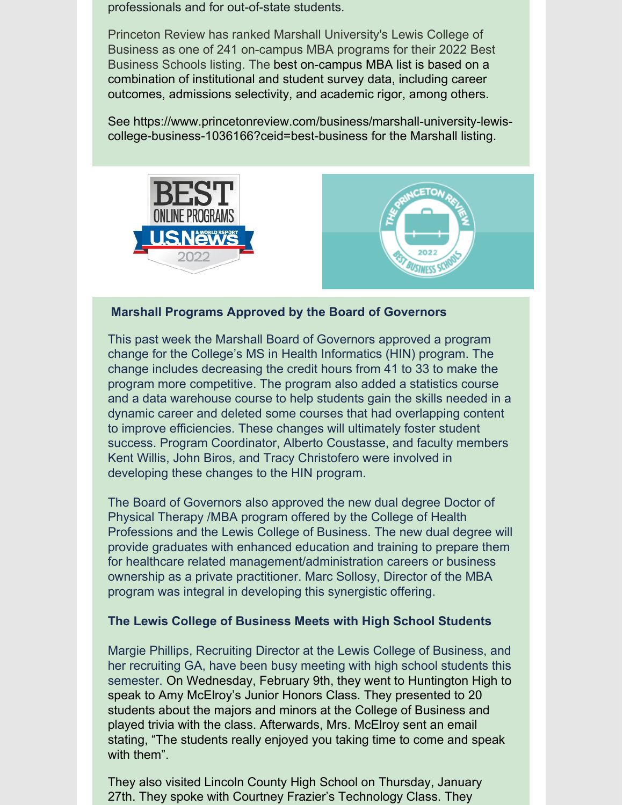professionals and for out-of-state students.

Princeton Review has ranked Marshall University's Lewis College of Business as one of 241 on-campus MBA programs for their 2022 Best Business Schools listing. The best on-campus MBA list is based on a combination of institutional and student survey data, including career outcomes, admissions selectivity, and academic rigor, among others.

See https://www.princetonreview.com/business/marshall-university-lewiscollege-business-1036166?ceid=best-business for the Marshall listing.





## **Marshall Programs Approved by the Board of Governors**

This past week the Marshall Board of Governors approved a program change for the College's MS in Health Informatics (HIN) program. The change includes decreasing the credit hours from 41 to 33 to make the program more competitive. The program also added a statistics course and a data warehouse course to help students gain the skills needed in a dynamic career and deleted some courses that had overlapping content to improve efficiencies. These changes will ultimately foster student success. Program Coordinator, Alberto Coustasse, and faculty members Kent Willis, John Biros, and Tracy Christofero were involved in developing these changes to the HIN program.

The Board of Governors also approved the new dual degree Doctor of Physical Therapy /MBA program offered by the College of Health Professions and the Lewis College of Business. The new dual degree will provide graduates with enhanced education and training to prepare them for healthcare related management/administration careers or business ownership as a private practitioner. Marc Sollosy, Director of the MBA program was integral in developing this synergistic offering.

#### **The Lewis College of Business Meets with High School Students**

Margie Phillips, Recruiting Director at the Lewis College of Business, and her recruiting GA, have been busy meeting with high school students this semester. On Wednesday, February 9th, they went to Huntington High to speak to Amy McElroy's Junior Honors Class. They presented to 20 students about the majors and minors at the College of Business and played trivia with the class. Afterwards, Mrs. McElroy sent an email stating, "The students really enjoyed you taking time to come and speak with them".

They also visited Lincoln County High School on Thursday, January 27th. They spoke with Courtney Frazier's Technology Class. They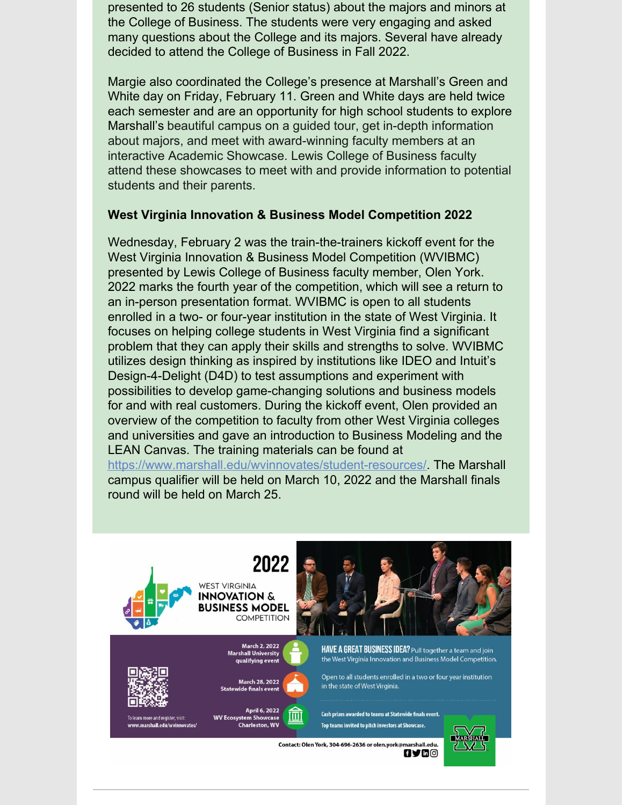presented to 26 students (Senior status) about the majors and minors at the College of Business. The students were very engaging and asked many questions about the College and its majors. Several have already decided to attend the College of Business in Fall 2022.

Margie also coordinated the College's presence at Marshall's Green and White day on Friday, February 11. Green and White days are held twice each semester and are an opportunity for high school students to explore Marshall's beautiful campus on a guided tour, get in-depth information about majors, and meet with award-winning faculty members at an interactive Academic Showcase. Lewis College of Business faculty attend these showcases to meet with and provide information to potential students and their parents.

#### **West Virginia Innovation & Business Model Competition 2022**

Wednesday, February 2 was the train-the-trainers kickoff event for the West Virginia Innovation & Business Model Competition (WVIBMC) presented by Lewis College of Business faculty member, Olen York. 2022 marks the fourth year of the competition, which will see a return to an in-person presentation format. WVIBMC is open to all students enrolled in a two- or four-year institution in the state of West Virginia. It focuses on helping college students in West Virginia find a significant problem that they can apply their skills and strengths to solve. WVIBMC utilizes design thinking as inspired by institutions like IDEO and Intuit's Design-4-Delight (D4D) to test assumptions and experiment with possibilities to develop game-changing solutions and business models for and with real customers. During the kickoff event, Olen provided an overview of the competition to faculty from other West Virginia colleges and universities and gave an introduction to Business Modeling and the LEAN Canvas. The training materials can be found at

<https://www.marshall.edu/wvinnovates/student-resources/>. The Marshall campus qualifier will be held on March 10, 2022 and the Marshall finals round will be held on March 25.